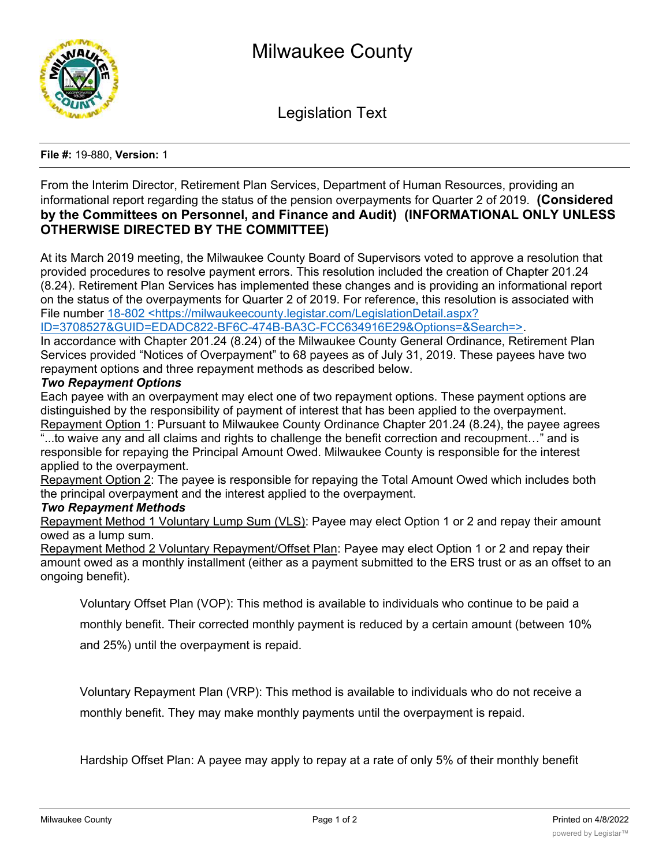

Legislation Text

## **File #:** 19-880, **Version:** 1

From the Interim Director, Retirement Plan Services, Department of Human Resources, providing an informational report regarding the status of the pension overpayments for Quarter 2 of 2019. **(Considered by the Committees on Personnel, and Finance and Audit) (INFORMATIONAL ONLY UNLESS OTHERWISE DIRECTED BY THE COMMITTEE)**

At its March 2019 meeting, the Milwaukee County Board of Supervisors voted to approve a resolution that provided procedures to resolve payment errors. This resolution included the creation of Chapter 201.24 (8.24). Retirement Plan Services has implemented these changes and is providing an informational report on the status of the overpayments for Quarter 2 of 2019. For reference, this resolution is associated with File number 18-802 <https://milwaukeecounty.legistar.com/LegislationDetail.aspx?

ID=3708527&GUID=EDADC822-BF6C-474B-BA3C-FCC634916E29&Options=&Search=>.

In accordance with Chapter 201.24 (8.24) of the Milwaukee County General Ordinance, Retirement Plan Services provided "Notices of Overpayment" to 68 payees as of July 31, 2019. These payees have two repayment options and three repayment methods as described below.

## *Two Repayment Options*

Each payee with an overpayment may elect one of two repayment options. These payment options are distinguished by the responsibility of payment of interest that has been applied to the overpayment. Repayment Option 1: Pursuant to Milwaukee County Ordinance Chapter 201.24 (8.24), the payee agrees "...to waive any and all claims and rights to challenge the benefit correction and recoupment…" and is responsible for repaying the Principal Amount Owed. Milwaukee County is responsible for the interest applied to the overpayment.

Repayment Option 2: The payee is responsible for repaying the Total Amount Owed which includes both the principal overpayment and the interest applied to the overpayment.

## *Two Repayment Methods*

Repayment Method 1 Voluntary Lump Sum (VLS): Payee may elect Option 1 or 2 and repay their amount owed as a lump sum.

Repayment Method 2 Voluntary Repayment/Offset Plan: Payee may elect Option 1 or 2 and repay their amount owed as a monthly installment (either as a payment submitted to the ERS trust or as an offset to an ongoing benefit).

Voluntary Offset Plan (VOP): This method is available to individuals who continue to be paid a

monthly benefit. Their corrected monthly payment is reduced by a certain amount (between 10%

and 25%) until the overpayment is repaid.

Voluntary Repayment Plan (VRP): This method is available to individuals who do not receive a monthly benefit. They may make monthly payments until the overpayment is repaid.

Hardship Offset Plan: A payee may apply to repay at a rate of only 5% of their monthly benefit